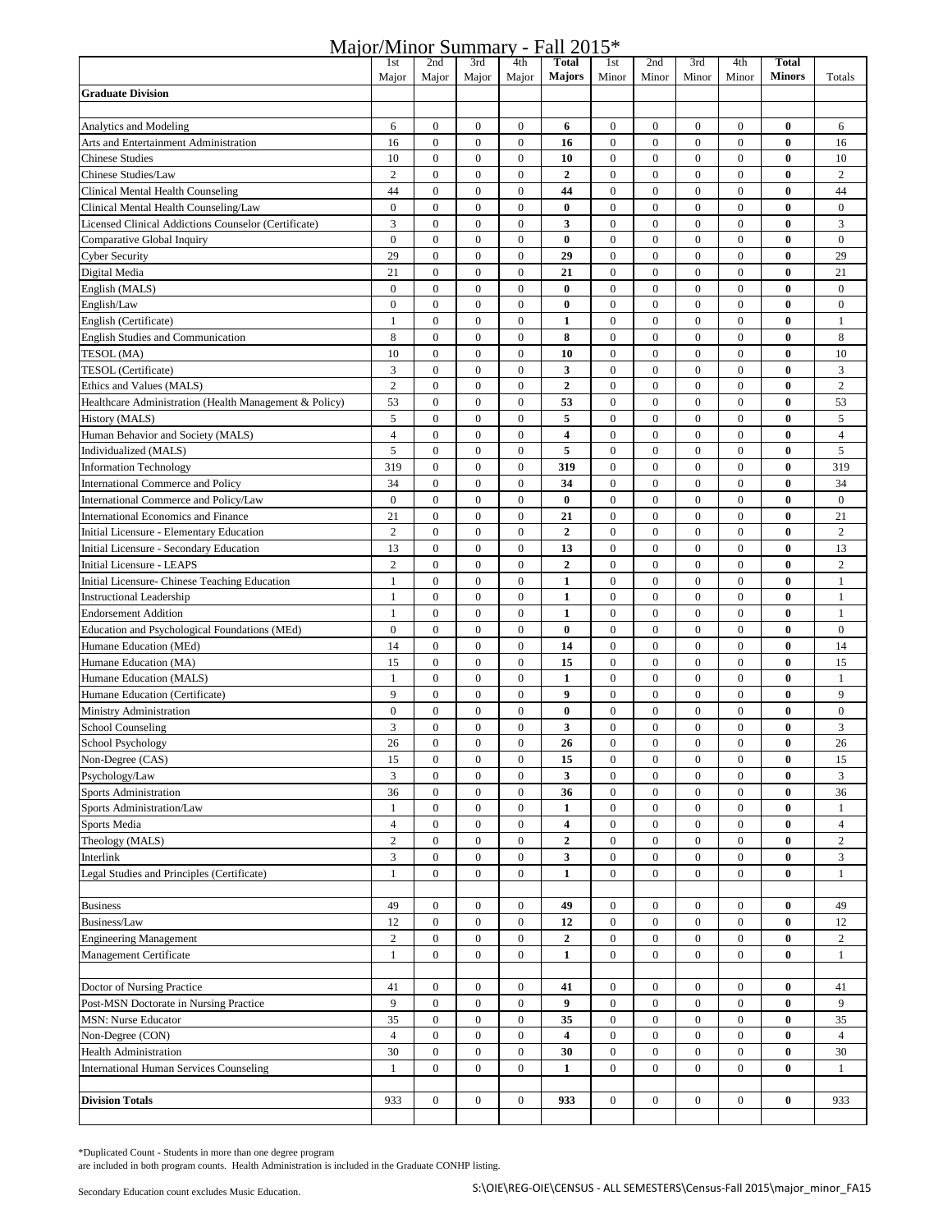|  | Major/Minor Summary - Fall 2015* |  |  |  |  |  |
|--|----------------------------------|--|--|--|--|--|
|  |                                  |  |  |  |  |  |

| <u>1114 01/11</u>                                      | 1st                  | 2nd                                | 3rd                                  | 4th                                  | .<br><b>Total</b> | 1st                                  | 2nd                                  | 3rd                                  | 4th                              | <b>Total</b>         |                      |
|--------------------------------------------------------|----------------------|------------------------------------|--------------------------------------|--------------------------------------|-------------------|--------------------------------------|--------------------------------------|--------------------------------------|----------------------------------|----------------------|----------------------|
|                                                        | Major                | Major                              | Major                                | Major                                | <b>Majors</b>     | Minor                                | Minor                                | Minor                                | Minor                            | <b>Minors</b>        | Totals               |
| <b>Graduate Division</b>                               |                      |                                    |                                      |                                      |                   |                                      |                                      |                                      |                                  |                      |                      |
|                                                        |                      |                                    |                                      |                                      |                   |                                      |                                      |                                      |                                  |                      |                      |
| <b>Analytics and Modeling</b>                          | 6                    | $\overline{0}$                     | $\boldsymbol{0}$                     | $\bf{0}$                             | 6                 | $\boldsymbol{0}$                     | $\boldsymbol{0}$                     | $\mathbf{0}$                         | $\mathbf{0}$                     | $\bf{0}$             | 6                    |
| Arts and Entertainment Administration                  | 16                   | $\boldsymbol{0}$                   | $\bf{0}$                             | $\bf{0}$                             | 16                | $\boldsymbol{0}$                     | $\boldsymbol{0}$                     | $\boldsymbol{0}$                     | $\bf{0}$                         | $\bf{0}$             | 16                   |
| <b>Chinese Studies</b>                                 | 10                   | $\mathbf{0}$                       | $\boldsymbol{0}$                     | $\boldsymbol{0}$                     | 10                | $\boldsymbol{0}$                     | $\boldsymbol{0}$                     | $\mathbf{0}$                         | $\mathbf{0}$                     | $\bf{0}$             | 10                   |
| Chinese Studies/Law                                    | $\overline{2}$       | $\overline{0}$                     | $\mathbf{0}$                         | $\mathbf{0}$                         | $\overline{2}$    | $\mathbf{0}$                         | $\boldsymbol{0}$                     | $\mathbf{0}$                         | $\mathbf{0}$                     | $\bf{0}$             | $\overline{2}$       |
| Clinical Mental Health Counseling                      | 44                   | $\boldsymbol{0}$                   | $\boldsymbol{0}$                     | $\boldsymbol{0}$                     | 44                | $\boldsymbol{0}$                     | $\boldsymbol{0}$                     | $\mathbf{0}$                         | $\overline{0}$                   | $\bf{0}$             | 44                   |
| Clinical Mental Health Counseling/Law                  | $\overline{0}$       | $\overline{0}$                     | $\boldsymbol{0}$                     | $\bf{0}$                             | $\bf{0}$          | $\boldsymbol{0}$                     | $\boldsymbol{0}$                     | $\boldsymbol{0}$                     | $\mathbf{0}$                     | $\bf{0}$             | $\boldsymbol{0}$     |
| Licensed Clinical Addictions Counselor (Certificate)   | 3                    | $\mathbf{0}$                       | $\boldsymbol{0}$                     | $\boldsymbol{0}$                     | 3                 | $\boldsymbol{0}$                     | $\boldsymbol{0}$                     | $\mathbf{0}$                         | $\mathbf{0}$                     | $\bf{0}$             | 3                    |
| Comparative Global Inquiry                             | $\bf{0}$             | $\overline{0}$                     | $\boldsymbol{0}$                     | $\bf{0}$                             | $\bf{0}$          | $\boldsymbol{0}$                     | $\boldsymbol{0}$                     | $\boldsymbol{0}$                     | $\bf{0}$                         | $\bf{0}$             | $\mathbf{0}$         |
| <b>Cyber Security</b>                                  | 29                   | $\boldsymbol{0}$                   | $\boldsymbol{0}$                     | $\boldsymbol{0}$                     | 29                | $\boldsymbol{0}$                     | $\boldsymbol{0}$                     | $\boldsymbol{0}$                     | $\bf{0}$                         | $\bf{0}$             | 29                   |
| Digital Media                                          | 21                   | $\mathbf{0}$                       | $\mathbf{0}$                         | $\mathbf{0}$                         | 21                | $\boldsymbol{0}$                     | $\boldsymbol{0}$                     | $\boldsymbol{0}$                     | $\bf{0}$                         | $\bf{0}$             | 21                   |
| English (MALS)                                         | $\bf{0}$             | $\boldsymbol{0}$                   | $\boldsymbol{0}$                     | $\boldsymbol{0}$                     | $\bf{0}$          | $\boldsymbol{0}$                     | $\boldsymbol{0}$                     | $\boldsymbol{0}$                     | $\mathbf{0}$                     | $\bf{0}$             | $\boldsymbol{0}$     |
| English/Law                                            | $\overline{0}$       | $\boldsymbol{0}$                   | $\boldsymbol{0}$                     | $\boldsymbol{0}$                     | $\bf{0}$          | $\boldsymbol{0}$                     | $\boldsymbol{0}$                     | $\boldsymbol{0}$                     | $\boldsymbol{0}$                 | $\bf{0}$             | $\boldsymbol{0}$     |
| English (Certificate)                                  | 1                    | $\boldsymbol{0}$                   | $\boldsymbol{0}$                     | $\boldsymbol{0}$                     | 1                 | $\boldsymbol{0}$                     | $\boldsymbol{0}$                     | $\boldsymbol{0}$                     | $\mathbf{0}$                     | $\bf{0}$             | $\mathbf{1}$         |
| <b>English Studies and Communication</b>               | 8                    | $\overline{0}$                     | $\boldsymbol{0}$                     | $\boldsymbol{0}$                     | 8                 | $\boldsymbol{0}$                     | $\boldsymbol{0}$                     | $\boldsymbol{0}$                     | $\overline{0}$                   | $\bf{0}$             | 8                    |
| TESOL (MA)                                             | 10                   | $\boldsymbol{0}$                   | $\boldsymbol{0}$                     | $\boldsymbol{0}$                     | 10                | $\boldsymbol{0}$                     | $\boldsymbol{0}$                     | $\boldsymbol{0}$                     | $\mathbf{0}$                     | $\bf{0}$             | 10                   |
| TESOL (Certificate)                                    | 3                    | $\mathbf{0}$                       | $\boldsymbol{0}$                     | $\boldsymbol{0}$                     | 3                 | $\boldsymbol{0}$                     | $\boldsymbol{0}$                     | $\boldsymbol{0}$                     | $\mathbf{0}$                     | $\bf{0}$             | 3                    |
| Ethics and Values (MALS)                               | $\overline{c}$       | $\boldsymbol{0}$                   | $\boldsymbol{0}$                     | $\boldsymbol{0}$                     | $\boldsymbol{2}$  | $\boldsymbol{0}$                     | $\boldsymbol{0}$                     | $\boldsymbol{0}$                     | $\mathbf{0}$                     | $\bf{0}$             | $\overline{c}$       |
| Healthcare Administration (Health Management & Policy) | 53                   | $\mathbf{0}$                       | $\mathbf{0}$                         | $\boldsymbol{0}$                     | 53                | $\boldsymbol{0}$                     | $\boldsymbol{0}$                     | $\mathbf{0}$                         | $\mathbf{0}$                     | $\bf{0}$             | 53                   |
| History (MALS)<br>Human Behavior and Society (MALS)    | 5                    | $\overline{0}$                     | $\boldsymbol{0}$                     | $\boldsymbol{0}$                     | 5                 | $\boldsymbol{0}$                     | $\boldsymbol{0}$                     | $\boldsymbol{0}$                     | $\mathbf{0}$<br>$\overline{0}$   | $\bf{0}$             | $\sqrt{5}$           |
| Individualized (MALS)                                  | $\overline{4}$<br>5  | $\mathbf{0}$<br>$\boldsymbol{0}$   | $\boldsymbol{0}$<br>$\boldsymbol{0}$ | $\boldsymbol{0}$<br>$\boldsymbol{0}$ | 4<br>5            | $\boldsymbol{0}$<br>$\boldsymbol{0}$ | $\boldsymbol{0}$<br>$\boldsymbol{0}$ | $\boldsymbol{0}$<br>$\boldsymbol{0}$ | $\mathbf{0}$                     | $\bf{0}$<br>$\bf{0}$ | $\overline{4}$<br>5  |
| <b>Information Technology</b>                          | 319                  | $\overline{0}$                     | $\mathbf{0}$                         | $\boldsymbol{0}$                     | 319               | $\boldsymbol{0}$                     | $\boldsymbol{0}$                     | $\mathbf{0}$                         | $\overline{0}$                   | $\bf{0}$             | 319                  |
| <b>International Commerce and Policy</b>               | 34                   | $\overline{0}$                     | $\boldsymbol{0}$                     | $\boldsymbol{0}$                     | 34                | $\boldsymbol{0}$                     | $\boldsymbol{0}$                     | $\boldsymbol{0}$                     | $\mathbf{0}$                     | $\bf{0}$             | 34                   |
| International Commerce and Policy/Law                  | $\overline{0}$       | $\overline{0}$                     | $\mathbf{0}$                         | $\mathbf{0}$                         | $\bf{0}$          | $\boldsymbol{0}$                     | $\boldsymbol{0}$                     | $\mathbf{0}$                         | $\overline{0}$                   | $\bf{0}$             | $\mathbf{0}$         |
| International Economics and Finance                    | 21                   | $\overline{0}$                     | $\boldsymbol{0}$                     | $\boldsymbol{0}$                     | 21                | $\boldsymbol{0}$                     | $\boldsymbol{0}$                     | $\boldsymbol{0}$                     | $\boldsymbol{0}$                 | $\bf{0}$             | 21                   |
| Initial Licensure - Elementary Education               | $\overline{c}$       | $\overline{0}$                     | $\mathbf{0}$                         | $\mathbf{0}$                         | $\mathbf 2$       | $\boldsymbol{0}$                     | $\boldsymbol{0}$                     | $\mathbf{0}$                         | $\overline{0}$                   | $\bf{0}$             | $\sqrt{2}$           |
| Initial Licensure - Secondary Education                | 13                   | $\overline{0}$                     | $\boldsymbol{0}$                     | $\boldsymbol{0}$                     | 13                | $\boldsymbol{0}$                     | $\boldsymbol{0}$                     | $\mathbf{0}$                         | $\mathbf{0}$                     | $\bf{0}$             | 13                   |
| Initial Licensure - LEAPS                              | $\overline{c}$       | $\mathbf{0}$                       | $\boldsymbol{0}$                     | $\boldsymbol{0}$                     | $\mathbf{2}$      | $\boldsymbol{0}$                     | $\boldsymbol{0}$                     | $\boldsymbol{0}$                     | $\mathbf{0}$                     | $\bf{0}$             | $\overline{c}$       |
| Initial Licensure- Chinese Teaching Education          | $\mathbf{1}$         | $\boldsymbol{0}$                   | $\boldsymbol{0}$                     | $\boldsymbol{0}$                     | 1                 | $\boldsymbol{0}$                     | $\boldsymbol{0}$                     | $\boldsymbol{0}$                     | $\boldsymbol{0}$                 | $\bf{0}$             | $\mathbf{1}$         |
| <b>Instructional Leadership</b>                        | 1                    | $\mathbf{0}$                       | $\mathbf{0}$                         | $\mathbf{0}$                         | 1                 | $\boldsymbol{0}$                     | $\boldsymbol{0}$                     | $\mathbf{0}$                         | $\mathbf{0}$                     | $\bf{0}$             | 1                    |
| <b>Endorsement Addition</b>                            | $\mathbf{1}$         | $\mathbf{0}$                       | $\mathbf{0}$                         | $\mathbf{0}$                         | 1                 | $\boldsymbol{0}$                     | $\boldsymbol{0}$                     | $\mathbf{0}$                         | $\mathbf{0}$                     | $\bf{0}$             | $\mathbf{1}$         |
| Education and Psychological Foundations (MEd)          | $\mathbf{0}$         | $\mathbf{0}$                       | $\boldsymbol{0}$                     | $\boldsymbol{0}$                     | $\bf{0}$          | $\boldsymbol{0}$                     | $\boldsymbol{0}$                     | $\mathbf{0}$                         | $\overline{0}$                   | $\bf{0}$             | $\mathbf{0}$         |
| Humane Education (MEd)                                 | 14                   | $\overline{0}$                     | $\boldsymbol{0}$                     | $\boldsymbol{0}$                     | 14                | $\boldsymbol{0}$                     | $\boldsymbol{0}$                     | $\boldsymbol{0}$                     | $\mathbf{0}$                     | $\bf{0}$             | 14                   |
| Humane Education (MA)                                  | 15                   | $\boldsymbol{0}$                   | $\boldsymbol{0}$                     | $\boldsymbol{0}$                     | 15                | $\boldsymbol{0}$                     | $\boldsymbol{0}$                     | $\boldsymbol{0}$                     | $\boldsymbol{0}$                 | $\bf{0}$             | 15                   |
| Humane Education (MALS)                                | 1                    | $\boldsymbol{0}$                   | $\boldsymbol{0}$                     | $\boldsymbol{0}$                     | $\mathbf{1}$      | $\boldsymbol{0}$                     | $\boldsymbol{0}$                     | $\boldsymbol{0}$                     | $\boldsymbol{0}$                 | $\bf{0}$             | $\mathbf{1}$         |
| Humane Education (Certificate)                         | 9                    | $\boldsymbol{0}$                   | $\boldsymbol{0}$                     | $\boldsymbol{0}$                     | $\boldsymbol{9}$  | $\boldsymbol{0}$                     | $\boldsymbol{0}$                     | $\boldsymbol{0}$                     | $\boldsymbol{0}$                 | $\bf{0}$             | 9                    |
| Ministry Administration                                | $\overline{0}$       | $\overline{0}$                     | $\boldsymbol{0}$                     | $\boldsymbol{0}$                     | $\bf{0}$          | $\boldsymbol{0}$                     | $\boldsymbol{0}$                     | $\mathbf{0}$                         | $\mathbf{0}$                     | $\bf{0}$             | $\bf{0}$             |
| <b>School Counseling</b>                               | 3                    | $\boldsymbol{0}$                   | $\boldsymbol{0}$                     | $\boldsymbol{0}$                     | 3                 | $\boldsymbol{0}$                     | $\boldsymbol{0}$                     | $\boldsymbol{0}$                     | $\mathbf{0}$                     | $\bf{0}$             | 3                    |
| <b>School Psychology</b>                               | 26                   | $\overline{0}$                     | $\mathbf{0}$                         | $\mathbf{0}$                         | 26                | $\overline{0}$                       | $\overline{0}$                       | $\mathbf{0}$                         | $\mathbf{0}$                     | $\bf{0}$             | 26                   |
| Non-Degree (CAS)                                       | 15                   | $\boldsymbol{0}$                   | $\boldsymbol{0}$                     | $\boldsymbol{0}$                     | 15                | $\boldsymbol{0}$                     | $\boldsymbol{0}$                     | $\boldsymbol{0}$                     | $\boldsymbol{0}$                 | $\bf{0}$             | 15                   |
| Psychology/Law                                         | 3                    | $\boldsymbol{0}$                   | $\boldsymbol{0}$                     | $\boldsymbol{0}$                     | 3                 | $\boldsymbol{0}$                     | $\boldsymbol{0}$                     | $\boldsymbol{0}$                     | $\mathbf{0}$                     | $\bf{0}$             | 3                    |
| <b>Sports Administration</b>                           | 36                   | $\boldsymbol{0}$                   | $\boldsymbol{0}$                     | $\boldsymbol{0}$                     | 36                | $\boldsymbol{0}$                     | $\boldsymbol{0}$                     | $\boldsymbol{0}$                     | $\boldsymbol{0}$                 | $\bf{0}$             | 36                   |
| Sports Administration/Law                              | $\mathbf{1}$         | $\boldsymbol{0}$                   | $\boldsymbol{0}$                     | $\boldsymbol{0}$                     | 1                 | $\boldsymbol{0}$                     | $\boldsymbol{0}$                     | $\boldsymbol{0}$                     | $\boldsymbol{0}$                 | $\bf{0}$             | $\mathbf{1}$         |
| Sports Media                                           | $\overline{4}$       | $\boldsymbol{0}$                   | $\boldsymbol{0}$                     | $\boldsymbol{0}$                     | 4                 | $\boldsymbol{0}$                     | $\boldsymbol{0}$                     | $\boldsymbol{0}$                     | $\boldsymbol{0}$                 | $\bf{0}$             | $\overline{4}$       |
| Theology (MALS)                                        | $\overline{c}$       | $\boldsymbol{0}$                   | $\boldsymbol{0}$                     | $\boldsymbol{0}$                     | $\mathbf{2}$      | $\boldsymbol{0}$                     | $\boldsymbol{0}$                     | $\boldsymbol{0}$                     | $\mathbf{0}$                     | $\bf{0}$             | $\overline{2}$       |
| Interlink                                              | 3                    | $\boldsymbol{0}$                   | $\boldsymbol{0}$                     | $\boldsymbol{0}$                     | 3                 | $\boldsymbol{0}$                     | $\boldsymbol{0}$                     | $\boldsymbol{0}$                     | $\boldsymbol{0}$                 | $\bf{0}$             | 3                    |
| Legal Studies and Principles (Certificate)             | $\mathbf{1}$         | $\overline{0}$                     | $\mathbf{0}$                         | $\overline{0}$                       | $\mathbf{1}$      | $\overline{0}$                       | $\mathbf{0}$                         | $\mathbf{0}$                         | $\mathbf{0}$                     | $\bf{0}$             | $\mathbf{1}$         |
|                                                        |                      |                                    |                                      |                                      |                   |                                      |                                      |                                      |                                  |                      |                      |
| <b>Business</b>                                        | 49                   | $\boldsymbol{0}$                   | $\boldsymbol{0}$                     | $\boldsymbol{0}$                     | 49                | $\boldsymbol{0}$                     | $\boldsymbol{0}$                     | $\boldsymbol{0}$                     | $\mathbf{0}$                     | $\bf{0}$             | 49                   |
| Business/Law                                           | 12                   | $\boldsymbol{0}$                   | $\boldsymbol{0}$                     | $\boldsymbol{0}$                     | 12                | $\boldsymbol{0}$                     | $\boldsymbol{0}$                     | $\boldsymbol{0}$                     | $\boldsymbol{0}$                 | $\bf{0}$             | 12                   |
| <b>Engineering Management</b>                          | $\overline{c}$       | $\boldsymbol{0}$                   | $\boldsymbol{0}$                     | $\boldsymbol{0}$                     | 2                 | $\boldsymbol{0}$                     | $\boldsymbol{0}$                     | $\boldsymbol{0}$                     | $\boldsymbol{0}$                 | $\bf{0}$             | $\boldsymbol{2}$     |
| Management Certificate                                 | $\mathbf{1}$         | $\boldsymbol{0}$                   | $\boldsymbol{0}$                     | $\boldsymbol{0}$                     | $\mathbf{1}$      | $\boldsymbol{0}$                     | $\boldsymbol{0}$                     | $\mathbf{0}$                         | $\mathbf{0}$                     | $\bf{0}$             | $\mathbf{1}$         |
|                                                        |                      |                                    |                                      |                                      |                   |                                      |                                      |                                      |                                  |                      |                      |
| Doctor of Nursing Practice                             | 41                   | $\boldsymbol{0}$                   | $\mathbf{0}$                         | $\boldsymbol{0}$                     | 41                | $\boldsymbol{0}$                     | $\boldsymbol{0}$                     | $\boldsymbol{0}$                     | $\mathbf{0}$                     | $\bf{0}$             | 41                   |
| Post-MSN Doctorate in Nursing Practice                 | 9                    | $\boldsymbol{0}$                   | $\boldsymbol{0}$                     | $\boldsymbol{0}$                     | 9                 | $\boldsymbol{0}$                     | $\boldsymbol{0}$                     | $\boldsymbol{0}$                     | $\boldsymbol{0}$                 | $\bf{0}$             | 9                    |
| <b>MSN: Nurse Educator</b>                             | 35<br>$\overline{4}$ | $\boldsymbol{0}$                   | $\boldsymbol{0}$<br>$\boldsymbol{0}$ | $\boldsymbol{0}$<br>$\boldsymbol{0}$ | 35<br>4           | $\boldsymbol{0}$                     | $\boldsymbol{0}$                     | $\boldsymbol{0}$<br>$\mathbf{0}$     | $\boldsymbol{0}$                 | $\bf{0}$<br>$\bf{0}$ | 35<br>$\overline{4}$ |
| Non-Degree (CON)<br><b>Health Administration</b>       | 30                   | $\boldsymbol{0}$<br>$\overline{0}$ | $\boldsymbol{0}$                     | $\boldsymbol{0}$                     | 30                | $\boldsymbol{0}$<br>$\boldsymbol{0}$ | $\boldsymbol{0}$<br>$\boldsymbol{0}$ | $\boldsymbol{0}$                     | $\mathbf{0}$<br>$\boldsymbol{0}$ | $\bf{0}$             | 30                   |
|                                                        | $\mathbf{1}$         | $\boldsymbol{0}$                   | $\boldsymbol{0}$                     | $\boldsymbol{0}$                     | 1                 | $\boldsymbol{0}$                     | $\boldsymbol{0}$                     | $\boldsymbol{0}$                     | $\mathbf{0}$                     | $\bf{0}$             | $\mathbf{1}$         |
| <b>International Human Services Counseling</b>         |                      |                                    |                                      |                                      |                   |                                      |                                      |                                      |                                  |                      |                      |
| <b>Division Totals</b>                                 | 933                  | $\boldsymbol{0}$                   | $\boldsymbol{0}$                     | $\boldsymbol{0}$                     | 933               | 0                                    | $\mathbf{0}$                         | $\boldsymbol{0}$                     | $\boldsymbol{0}$                 | $\bf{0}$             | 933                  |
|                                                        |                      |                                    |                                      |                                      |                   |                                      |                                      |                                      |                                  |                      |                      |
|                                                        |                      |                                    |                                      |                                      |                   |                                      |                                      |                                      |                                  |                      |                      |

\*Duplicated Count - Students in more than one degree program

are included in both program counts. Health Administration is included in the Graduate CONHP listing.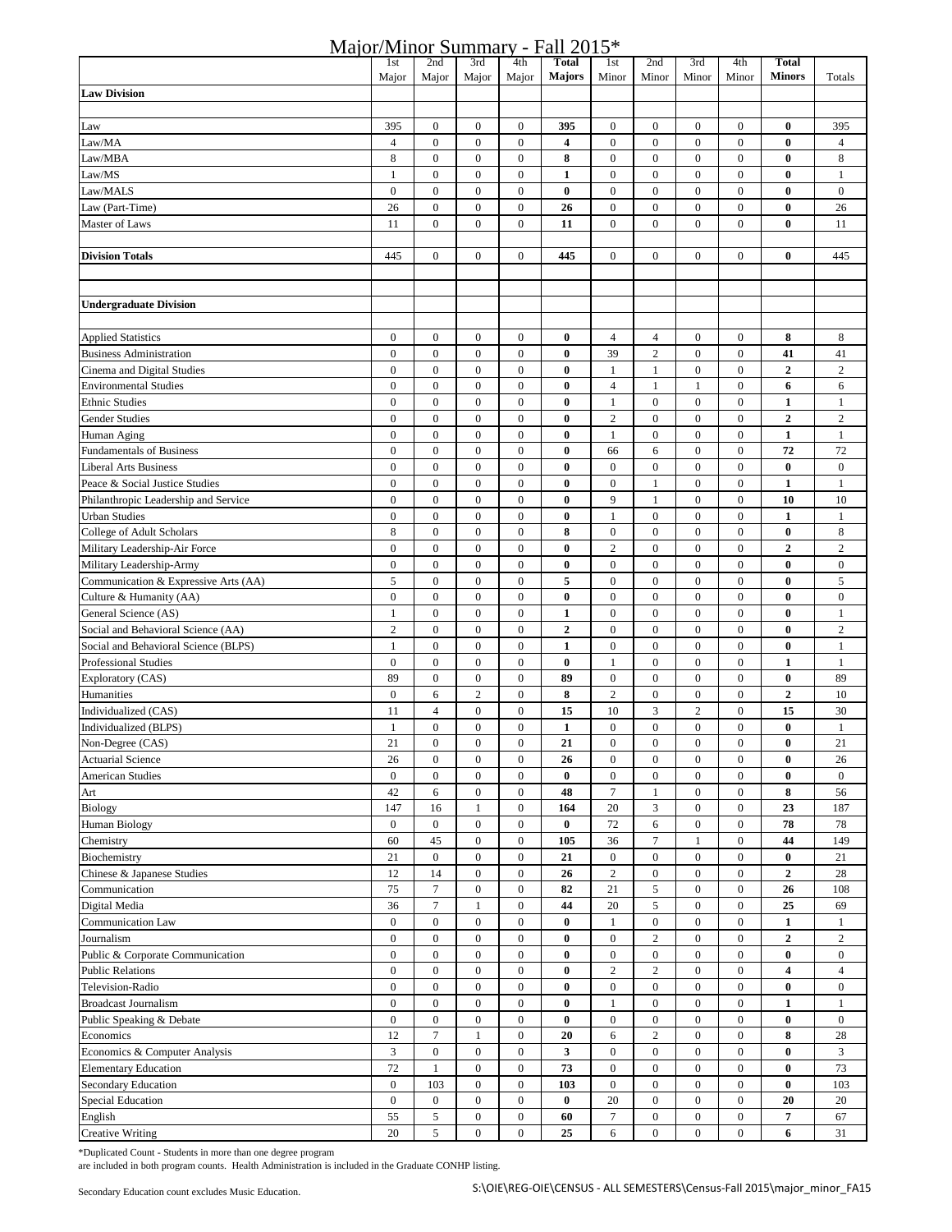## Major/Minor Summary - Fall 2015\*

|                                                             | 1st                                  | 2nd                                  | 3rd                              | 4th                                  | <b>Total</b>            | 1st                              | 2nd                   | 3rd                                  | 4th                                  | <b>Total</b>                     |                                |
|-------------------------------------------------------------|--------------------------------------|--------------------------------------|----------------------------------|--------------------------------------|-------------------------|----------------------------------|-----------------------|--------------------------------------|--------------------------------------|----------------------------------|--------------------------------|
|                                                             | Major                                | Major                                | Major                            | Major                                | <b>Majors</b>           | Minor                            | Minor                 | Minor                                | Minor                                | <b>Minors</b>                    | Totals                         |
| <b>Law Division</b>                                         |                                      |                                      |                                  |                                      |                         |                                  |                       |                                      |                                      |                                  |                                |
|                                                             |                                      |                                      |                                  |                                      |                         |                                  |                       |                                      |                                      |                                  |                                |
| Law                                                         | 395                                  | $\boldsymbol{0}$                     | $\boldsymbol{0}$                 | $\boldsymbol{0}$                     | 395                     | $\boldsymbol{0}$                 | $\boldsymbol{0}$      | $\boldsymbol{0}$                     | $\boldsymbol{0}$                     | $\bf{0}$                         | 395                            |
| Law/MA                                                      | $\overline{4}$                       | $\boldsymbol{0}$                     | $\boldsymbol{0}$                 | $\boldsymbol{0}$                     | $\overline{\mathbf{4}}$ | $\boldsymbol{0}$                 | $\boldsymbol{0}$      | $\boldsymbol{0}$                     | $\boldsymbol{0}$                     | $\bf{0}$                         | $\overline{4}$                 |
| Law/MBA                                                     | $\,$ 8 $\,$                          | $\boldsymbol{0}$                     | $\boldsymbol{0}$                 | $\boldsymbol{0}$                     | 8                       | $\boldsymbol{0}$                 | $\boldsymbol{0}$      | $\mathbf{0}$                         | $\mathbf{0}$                         | $\bf{0}$                         | 8                              |
| Law/MS                                                      | 1                                    | $\boldsymbol{0}$                     | $\boldsymbol{0}$                 | $\boldsymbol{0}$                     | $\mathbf{1}$            | $\boldsymbol{0}$                 | $\boldsymbol{0}$      | $\boldsymbol{0}$                     | $\boldsymbol{0}$                     | $\bf{0}$                         | $\mathbf{1}$                   |
| Law/MALS                                                    | $\boldsymbol{0}$                     | $\boldsymbol{0}$                     | $\boldsymbol{0}$                 | $\boldsymbol{0}$                     | $\bf{0}$                | $\boldsymbol{0}$                 | $\boldsymbol{0}$      | $\boldsymbol{0}$                     | $\boldsymbol{0}$                     | $\bf{0}$                         | $\boldsymbol{0}$               |
| Law (Part-Time)                                             | 26                                   | $\boldsymbol{0}$                     | $\boldsymbol{0}$                 | $\boldsymbol{0}$                     | 26                      | $\boldsymbol{0}$                 | $\boldsymbol{0}$      | $\boldsymbol{0}$                     | $\boldsymbol{0}$                     | $\bf{0}$                         | 26                             |
| Master of Laws                                              | 11                                   | $\boldsymbol{0}$                     | $\boldsymbol{0}$                 | $\boldsymbol{0}$                     | 11                      | $\boldsymbol{0}$                 | $\boldsymbol{0}$      | $\boldsymbol{0}$                     | $\boldsymbol{0}$                     | $\bf{0}$                         | 11                             |
|                                                             |                                      |                                      |                                  |                                      |                         |                                  |                       |                                      |                                      |                                  |                                |
| <b>Division Totals</b>                                      | 445                                  | $\boldsymbol{0}$                     | $\boldsymbol{0}$                 | $\boldsymbol{0}$                     | 445                     | $\boldsymbol{0}$                 | $\boldsymbol{0}$      | $\boldsymbol{0}$                     | $\mathbf{0}$                         | $\bf{0}$                         | 445                            |
|                                                             |                                      |                                      |                                  |                                      |                         |                                  |                       |                                      |                                      |                                  |                                |
|                                                             |                                      |                                      |                                  |                                      |                         |                                  |                       |                                      |                                      |                                  |                                |
| <b>Undergraduate Division</b>                               |                                      |                                      |                                  |                                      |                         |                                  |                       |                                      |                                      |                                  |                                |
|                                                             | $\boldsymbol{0}$                     | $\boldsymbol{0}$                     | $\boldsymbol{0}$                 | $\boldsymbol{0}$                     | $\bf{0}$                | $\overline{4}$                   | $\overline{4}$        | $\mathbf{0}$                         | $\mathbf{0}$                         | 8                                | 8                              |
| <b>Applied Statistics</b><br><b>Business Administration</b> | $\boldsymbol{0}$                     | $\boldsymbol{0}$                     | $\boldsymbol{0}$                 | $\boldsymbol{0}$                     | $\bf{0}$                | 39                               | $\overline{c}$        | $\boldsymbol{0}$                     | $\mathbf{0}$                         | 41                               | 41                             |
| Cinema and Digital Studies                                  | $\boldsymbol{0}$                     | $\boldsymbol{0}$                     | $\boldsymbol{0}$                 | $\boldsymbol{0}$                     | $\bf{0}$                | $\mathbf{1}$                     | $\mathbf{1}$          | $\boldsymbol{0}$                     | $\mathbf{0}$                         | $\boldsymbol{2}$                 | $\sqrt{2}$                     |
| <b>Environmental Studies</b>                                | $\boldsymbol{0}$                     | $\boldsymbol{0}$                     | $\boldsymbol{0}$                 | $\boldsymbol{0}$                     | $\bf{0}$                | $\overline{4}$                   | $\mathbf{1}$          | 1                                    | $\boldsymbol{0}$                     | 6                                | 6                              |
| <b>Ethnic Studies</b>                                       | $\boldsymbol{0}$                     | $\boldsymbol{0}$                     | $\boldsymbol{0}$                 | $\boldsymbol{0}$                     | 0                       | 1                                | $\boldsymbol{0}$      | $\boldsymbol{0}$                     | $\mathbf{0}$                         | 1                                | $\mathbf{1}$                   |
| Gender Studies                                              | $\boldsymbol{0}$                     | $\boldsymbol{0}$                     | $\boldsymbol{0}$                 | $\boldsymbol{0}$                     | $\bf{0}$                | $\overline{2}$                   | $\boldsymbol{0}$      | $\boldsymbol{0}$                     | $\boldsymbol{0}$                     | $\overline{2}$                   | $\overline{c}$                 |
| Human Aging                                                 | $\boldsymbol{0}$                     | $\boldsymbol{0}$                     | $\boldsymbol{0}$                 | $\boldsymbol{0}$                     | $\bf{0}$                | $\mathbf{1}$                     | $\boldsymbol{0}$      | $\boldsymbol{0}$                     | $\boldsymbol{0}$                     | $\mathbf{1}$                     | $\mathbf{1}$                   |
| <b>Fundamentals of Business</b>                             | $\boldsymbol{0}$                     | $\boldsymbol{0}$                     | $\boldsymbol{0}$                 | $\boldsymbol{0}$                     | $\bf{0}$                | 66                               | 6                     | $\boldsymbol{0}$                     | $\boldsymbol{0}$                     | 72                               | 72                             |
| <b>Liberal Arts Business</b>                                | $\boldsymbol{0}$                     | $\boldsymbol{0}$                     | $\boldsymbol{0}$                 | $\boldsymbol{0}$                     | $\bf{0}$                | $\boldsymbol{0}$                 | $\boldsymbol{0}$      | $\boldsymbol{0}$                     | $\boldsymbol{0}$                     | $\bf{0}$                         | $\bf{0}$                       |
| Peace & Social Justice Studies                              | $\boldsymbol{0}$                     | $\boldsymbol{0}$                     | $\boldsymbol{0}$                 | $\boldsymbol{0}$                     | $\bf{0}$                | $\boldsymbol{0}$                 | $\mathbf{1}$          | $\boldsymbol{0}$                     | $\boldsymbol{0}$                     | $\mathbf{1}$                     | $\mathbf{1}$                   |
| Philanthropic Leadership and Service                        | $\boldsymbol{0}$                     | $\boldsymbol{0}$                     | $\boldsymbol{0}$                 | $\boldsymbol{0}$                     | $\bf{0}$                | 9                                | $\mathbf{1}$          | $\boldsymbol{0}$                     | $\boldsymbol{0}$                     | 10                               | 10                             |
| <b>Urban Studies</b>                                        | $\boldsymbol{0}$                     | $\boldsymbol{0}$                     | $\boldsymbol{0}$                 | $\boldsymbol{0}$                     | $\bf{0}$                | $\mathbf{1}$                     | $\boldsymbol{0}$      | $\boldsymbol{0}$                     | $\boldsymbol{0}$                     | $\mathbf{1}$                     | $\mathbf{1}$                   |
| College of Adult Scholars                                   | $\,8\,$                              | $\boldsymbol{0}$                     | $\boldsymbol{0}$                 | $\boldsymbol{0}$                     | 8                       | $\boldsymbol{0}$                 | $\boldsymbol{0}$      | $\boldsymbol{0}$                     | $\boldsymbol{0}$                     | $\bf{0}$                         | $\,8\,$                        |
| Military Leadership-Air Force                               | $\boldsymbol{0}$                     | $\boldsymbol{0}$                     | $\boldsymbol{0}$                 | $\boldsymbol{0}$                     | $\bf{0}$                | $\sqrt{2}$                       | $\boldsymbol{0}$      | $\boldsymbol{0}$                     | $\boldsymbol{0}$                     | $\boldsymbol{2}$                 | $\sqrt{2}$                     |
| Military Leadership-Army                                    | $\boldsymbol{0}$                     | $\boldsymbol{0}$                     | $\boldsymbol{0}$                 | $\boldsymbol{0}$                     | $\bf{0}$                | $\boldsymbol{0}$                 | $\boldsymbol{0}$      | $\boldsymbol{0}$                     | $\boldsymbol{0}$                     | $\bf{0}$                         | $\boldsymbol{0}$               |
| Communication & Expressive Arts (AA)                        | 5                                    | $\boldsymbol{0}$                     | $\boldsymbol{0}$                 | $\boldsymbol{0}$                     | 5                       | $\boldsymbol{0}$                 | $\boldsymbol{0}$      | $\boldsymbol{0}$                     | $\boldsymbol{0}$                     | $\bf{0}$                         | 5                              |
| Culture & Humanity (AA)                                     | $\boldsymbol{0}$                     | $\boldsymbol{0}$                     | $\boldsymbol{0}$                 | $\boldsymbol{0}$                     | $\bf{0}$                | $\boldsymbol{0}$                 | $\boldsymbol{0}$      | $\boldsymbol{0}$                     | $\boldsymbol{0}$                     | $\bf{0}$                         | $\boldsymbol{0}$               |
| General Science (AS)                                        | $\mathbf{1}$                         | $\boldsymbol{0}$                     | $\boldsymbol{0}$                 | $\boldsymbol{0}$                     | $\mathbf{1}$            | $\boldsymbol{0}$                 | $\boldsymbol{0}$      | $\boldsymbol{0}$                     | $\boldsymbol{0}$                     | $\bf{0}$                         | $\mathbf{1}$                   |
| Social and Behavioral Science (AA)                          | $\sqrt{2}$                           | $\boldsymbol{0}$                     | $\boldsymbol{0}$                 | $\boldsymbol{0}$                     | $\boldsymbol{2}$        | $\boldsymbol{0}$                 | $\boldsymbol{0}$      | $\boldsymbol{0}$                     | $\boldsymbol{0}$                     | $\bf{0}$                         | $\sqrt{2}$                     |
| Social and Behavioral Science (BLPS)                        | $\mathbf{1}$                         | $\boldsymbol{0}$                     | $\boldsymbol{0}$                 | $\boldsymbol{0}$                     | $\mathbf{1}$            | $\boldsymbol{0}$                 | $\boldsymbol{0}$      | $\boldsymbol{0}$                     | $\boldsymbol{0}$                     | $\bf{0}$                         | $\mathbf{1}$                   |
| <b>Professional Studies</b>                                 | $\boldsymbol{0}$                     | $\boldsymbol{0}$                     | $\boldsymbol{0}$                 | $\boldsymbol{0}$                     | $\bf{0}$                | $\mathbf{1}$                     | $\boldsymbol{0}$      | $\boldsymbol{0}$                     | $\boldsymbol{0}$                     | 1                                | $\mathbf{1}$                   |
| Exploratory (CAS)                                           | 89                                   | $\boldsymbol{0}$                     | $\boldsymbol{0}$                 | $\boldsymbol{0}$                     | 89                      | $\boldsymbol{0}$                 | $\boldsymbol{0}$      | $\mathbf{0}$                         | $\boldsymbol{0}$                     | $\bf{0}$                         | 89                             |
| Humanities                                                  | $\boldsymbol{0}$                     | 6                                    | $\overline{c}$                   | $\boldsymbol{0}$                     | 8                       | $\overline{2}$                   | $\boldsymbol{0}$      | $\boldsymbol{0}$                     | $\boldsymbol{0}$                     | $\boldsymbol{2}$                 | 10                             |
| Individualized (CAS)                                        | 11                                   | $\overline{4}$                       | $\boldsymbol{0}$                 | $\boldsymbol{0}$                     | 15                      | 10                               | 3                     | $\overline{c}$                       | $\mathbf{0}$                         | 15                               | 30                             |
| Individualized (BLPS)                                       | 1                                    | $\boldsymbol{0}$                     | $\boldsymbol{0}$                 | $\boldsymbol{0}$                     | $\mathbf{1}$            | $\boldsymbol{0}$                 | $\boldsymbol{0}$      | $\boldsymbol{0}$                     | $\boldsymbol{0}$                     | $\bf{0}$                         | $\mathbf{1}$                   |
| Non-Degree (CAS)                                            | 21                                   | $\overline{0}$                       | $\overline{0}$                   | $\overline{0}$                       | 21                      | $\mathbf{0}$                     | $\mathbf{0}$          | $\overline{0}$                       | $\mathbf{0}$                         | $\bf{0}$                         | 21                             |
| <b>Actuarial Science</b>                                    | 26                                   | $\boldsymbol{0}$                     | $\boldsymbol{0}$                 | $\boldsymbol{0}$                     | 26                      | $\boldsymbol{0}$                 | $\boldsymbol{0}$      | $\boldsymbol{0}$                     | $\boldsymbol{0}$                     | $\bf{0}$                         | 26                             |
| <b>American Studies</b>                                     | $\boldsymbol{0}$                     | $\boldsymbol{0}$                     | $\boldsymbol{0}$                 | $\boldsymbol{0}$                     | $\bf{0}$                | $\boldsymbol{0}$                 | $\boldsymbol{0}$      | $\boldsymbol{0}$                     | $\mathbf{0}$                         | $\bf{0}$                         | $\bf{0}$                       |
| Art                                                         | 42                                   | 6                                    | $\boldsymbol{0}$                 | $\boldsymbol{0}$                     | 48                      | $\tau$                           | $\mathbf{1}$          | $\mathbf{0}$                         | $\mathbf{0}$                         | 8                                | 56                             |
| <b>Biology</b>                                              | 147                                  | 16                                   | $\mathbf{1}$                     | $\boldsymbol{0}$                     | 164                     | 20                               | 3                     | $\boldsymbol{0}$                     | $\mathbf{0}$                         | 23                               | 187                            |
| <b>Human Biology</b>                                        | $\boldsymbol{0}$                     | $\boldsymbol{0}$                     | $\boldsymbol{0}$                 | $\boldsymbol{0}$                     | $\bf{0}$                | 72                               | 6                     | $\boldsymbol{0}$                     | $\boldsymbol{0}$                     | 78                               | 78                             |
| Chemistry                                                   | 60                                   | 45                                   | $\boldsymbol{0}$                 | $\boldsymbol{0}$                     | 105                     | 36                               | $\tau$                | 1                                    | $\mathbf{0}$                         | 44                               | 149                            |
| Biochemistry                                                | 21                                   | $\boldsymbol{0}$                     | $\boldsymbol{0}$                 | $\boldsymbol{0}$                     | 21                      | $\boldsymbol{0}$                 | $\boldsymbol{0}$      | $\boldsymbol{0}$                     | $\boldsymbol{0}$                     | $\bf{0}$                         | 21                             |
| Chinese & Japanese Studies                                  | 12                                   | 14                                   | $\boldsymbol{0}$                 | $\boldsymbol{0}$                     | 26                      | $\sqrt{2}$                       | $\boldsymbol{0}$      | $\boldsymbol{0}$                     | $\boldsymbol{0}$                     | $\overline{2}$                   | 28                             |
| Communication                                               | 75                                   | $\tau$<br>$\boldsymbol{7}$           | $\mathbf{0}$                     | $\bf{0}$<br>$\boldsymbol{0}$         | 82                      | 21                               | 5                     | $\boldsymbol{0}$<br>$\boldsymbol{0}$ | $\boldsymbol{0}$<br>$\boldsymbol{0}$ | 26                               | 108                            |
| Digital Media                                               | 36                                   |                                      | $\mathbf{1}$                     |                                      | 44                      | 20                               | 5<br>$\boldsymbol{0}$ |                                      |                                      | 25                               | 69                             |
| Communication Law<br>Journalism                             | $\boldsymbol{0}$<br>$\boldsymbol{0}$ | $\boldsymbol{0}$<br>$\boldsymbol{0}$ | $\mathbf{0}$<br>$\boldsymbol{0}$ | $\boldsymbol{0}$<br>$\boldsymbol{0}$ | $\bf{0}$<br>$\bf{0}$    | $\mathbf{1}$<br>$\boldsymbol{0}$ | $\overline{c}$        | $\boldsymbol{0}$<br>$\boldsymbol{0}$ | $\boldsymbol{0}$<br>$\boldsymbol{0}$ | $\mathbf{1}$<br>$\boldsymbol{2}$ | $\mathbf{1}$<br>$\overline{c}$ |
|                                                             | $\boldsymbol{0}$                     | $\boldsymbol{0}$                     | $\boldsymbol{0}$                 | $\boldsymbol{0}$                     | $\bf{0}$                | $\boldsymbol{0}$                 | $\boldsymbol{0}$      | $\boldsymbol{0}$                     | $\boldsymbol{0}$                     |                                  | $\bf{0}$                       |
| Public & Corporate Communication<br><b>Public Relations</b> | $\boldsymbol{0}$                     | $\boldsymbol{0}$                     | $\boldsymbol{0}$                 | $\boldsymbol{0}$                     | $\bf{0}$                | $\sqrt{2}$                       | $\sqrt{2}$            | $\boldsymbol{0}$                     | $\boldsymbol{0}$                     | $\bf{0}$<br>$\boldsymbol{4}$     | $\overline{4}$                 |
| Television-Radio                                            | $\boldsymbol{0}$                     | $\boldsymbol{0}$                     | $\overline{0}$                   | $\boldsymbol{0}$                     | $\bf{0}$                | $\boldsymbol{0}$                 | $\boldsymbol{0}$      | $\boldsymbol{0}$                     | $\boldsymbol{0}$                     | $\bf{0}$                         | $\boldsymbol{0}$               |
| <b>Broadcast Journalism</b>                                 | $\boldsymbol{0}$                     | $\boldsymbol{0}$                     | $\boldsymbol{0}$                 | $\boldsymbol{0}$                     | $\bf{0}$                | $\mathbf{1}$                     | $\boldsymbol{0}$      | $\boldsymbol{0}$                     | $\boldsymbol{0}$                     | $\mathbf{1}$                     | $\mathbf{1}$                   |
| Public Speaking & Debate                                    | $\boldsymbol{0}$                     | $\boldsymbol{0}$                     | $\overline{0}$                   | $\overline{0}$                       | $\bf{0}$                | $\mathbf{0}$                     | $\mathbf{0}$          | $\mathbf{0}$                         | $\mathbf{0}$                         | $\bf{0}$                         | $\bf{0}$                       |
| Economics                                                   | 12                                   | $\boldsymbol{7}$                     | $\mathbf{1}$                     | $\boldsymbol{0}$                     | 20                      | 6                                | $\sqrt{2}$            | $\boldsymbol{0}$                     | $\boldsymbol{0}$                     | 8                                | 28                             |
| Economics & Computer Analysis                               | 3                                    | $\boldsymbol{0}$                     | $\boldsymbol{0}$                 | $\boldsymbol{0}$                     | 3                       | $\boldsymbol{0}$                 | $\boldsymbol{0}$      | $\mathbf{0}$                         | $\boldsymbol{0}$                     | $\bf{0}$                         | 3                              |
| <b>Elementary Education</b>                                 | 72                                   | $\mathbf{1}$                         | $\boldsymbol{0}$                 | $\boldsymbol{0}$                     | 73                      | $\boldsymbol{0}$                 | $\boldsymbol{0}$      | $\boldsymbol{0}$                     | $\boldsymbol{0}$                     | $\bf{0}$                         | 73                             |
| Secondary Education                                         | $\boldsymbol{0}$                     | 103                                  | $\boldsymbol{0}$                 | $\boldsymbol{0}$                     | 103                     | $\boldsymbol{0}$                 | $\boldsymbol{0}$      | $\boldsymbol{0}$                     | $\boldsymbol{0}$                     | $\bf{0}$                         | 103                            |
| Special Education                                           | $\boldsymbol{0}$                     | $\boldsymbol{0}$                     | $\boldsymbol{0}$                 | $\boldsymbol{0}$                     | 0                       | 20                               | $\boldsymbol{0}$      | $\boldsymbol{0}$                     | $\boldsymbol{0}$                     | 20                               | 20                             |
| English                                                     | 55                                   | 5                                    | $\boldsymbol{0}$                 | $\boldsymbol{0}$                     | 60                      | $\boldsymbol{7}$                 | $\boldsymbol{0}$      | $\boldsymbol{0}$                     | $\boldsymbol{0}$                     | $\overline{\mathbf{7}}$          | 67                             |
| <b>Creative Writing</b>                                     | 20                                   | 5                                    | $\mathbf{0}$                     | $\boldsymbol{0}$                     | 25                      | $\sqrt{6}$                       | $\boldsymbol{0}$      | $\boldsymbol{0}$                     | $\boldsymbol{0}$                     | 6                                | 31                             |

\*Duplicated Count - Students in more than one degree program

are included in both program counts. Health Administration is included in the Graduate CONHP listing.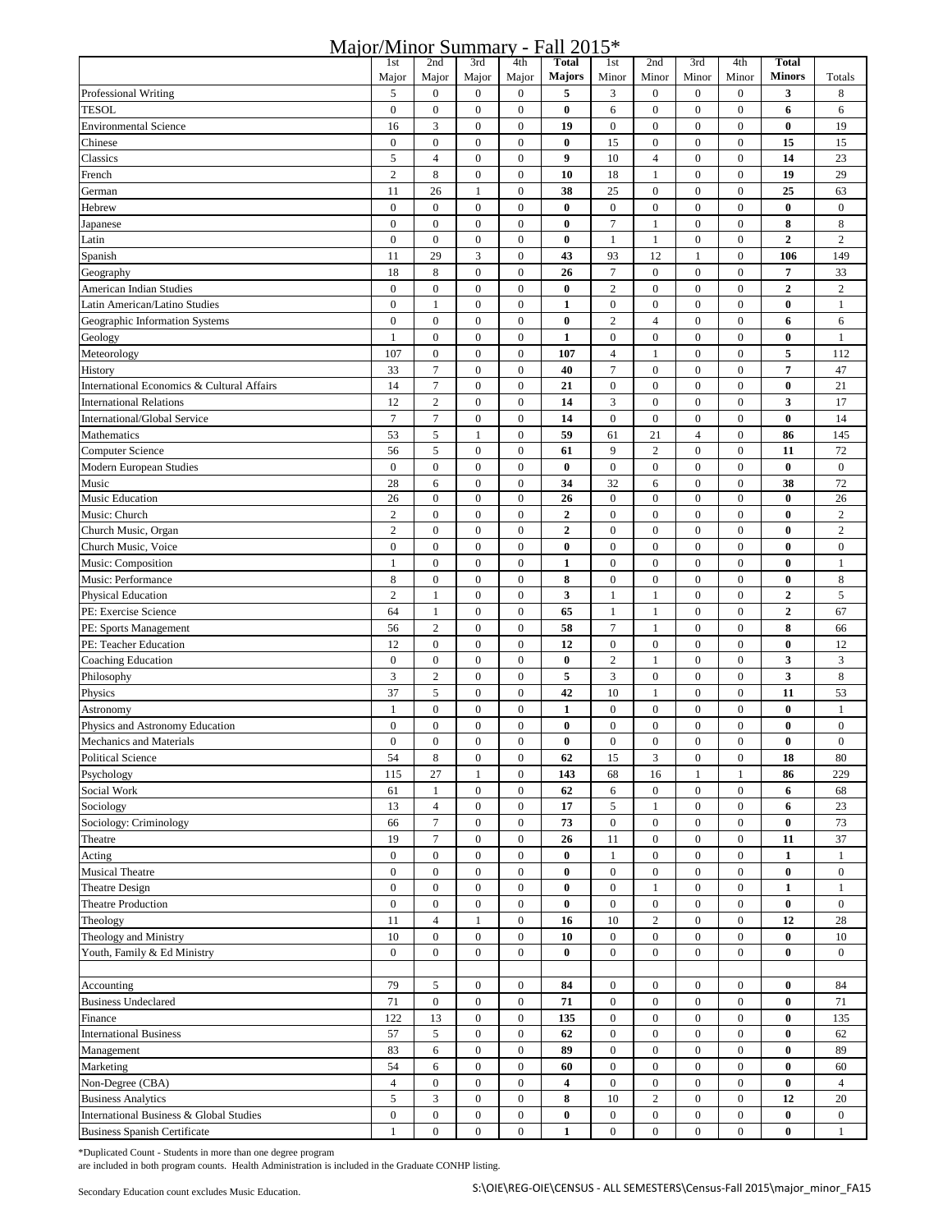## Major/Minor Summary - Fall 2015\*

| 11141017                                   | 1 <sub>st</sub>  | 2nd              | 3rd              | 4th              | <b>Total</b>            | 1 <sub>st</sub>  | 2nd                   | 3rd              | 4th              | <b>Total</b>     |                  |
|--------------------------------------------|------------------|------------------|------------------|------------------|-------------------------|------------------|-----------------------|------------------|------------------|------------------|------------------|
|                                            | Major            | Major            | Major            | Major            | <b>Majors</b>           | Minor            | Minor                 | Minor            | Minor            | <b>Minors</b>    | Totals           |
| Professional Writing                       | 5                | $\boldsymbol{0}$ | $\mathbf{0}$     | $\boldsymbol{0}$ | 5                       | 3                | $\boldsymbol{0}$      | $\mathbf{0}$     | $\overline{0}$   | 3                | 8                |
|                                            | $\mathbf{0}$     |                  |                  |                  |                         |                  | $\mathbf{0}$          | $\mathbf{0}$     | $\overline{0}$   |                  |                  |
| TESOL                                      |                  | $\boldsymbol{0}$ | $\boldsymbol{0}$ | $\boldsymbol{0}$ | $\bf{0}$                | 6                |                       |                  |                  | 6                | 6                |
| <b>Environmental Science</b>               | 16               | 3                | $\overline{0}$   | $\overline{0}$   | 19                      | $\boldsymbol{0}$ | $\overline{0}$        | $\mathbf{0}$     | $\overline{0}$   | $\bf{0}$         | 19               |
| Chinese                                    | $\boldsymbol{0}$ | $\boldsymbol{0}$ | $\boldsymbol{0}$ | $\boldsymbol{0}$ | $\bf{0}$                | 15               | $\boldsymbol{0}$      | $\boldsymbol{0}$ | $\bf{0}$         | 15               | 15               |
| Classics                                   | 5                | $\overline{4}$   | $\boldsymbol{0}$ | $\mathbf{0}$     | 9                       | 10               | $\overline{4}$        | $\mathbf{0}$     | $\mathbf{0}$     | 14               | 23               |
| French                                     | $\overline{c}$   | 8                | $\boldsymbol{0}$ | $\boldsymbol{0}$ | 10                      | 18               | 1                     | $\mathbf{0}$     | $\overline{0}$   | 19               | 29               |
| German                                     | 11               | 26               | $\mathbf{1}$     | $\boldsymbol{0}$ | 38                      | 25               | $\mathbf{0}$          | $\mathbf{0}$     | $\overline{0}$   | 25               | 63               |
| Hebrew                                     | $\boldsymbol{0}$ | $\boldsymbol{0}$ | $\boldsymbol{0}$ | $\boldsymbol{0}$ | $\bf{0}$                | $\boldsymbol{0}$ | $\boldsymbol{0}$      | $\mathbf{0}$     | $\overline{0}$   | $\bf{0}$         | $\bf{0}$         |
|                                            | $\boldsymbol{0}$ | $\boldsymbol{0}$ | $\boldsymbol{0}$ | $\boldsymbol{0}$ | $\bf{0}$                | 7                | $\mathbf{1}$          | $\mathbf{0}$     | $\mathbf{0}$     | 8                | 8                |
| Japanese                                   |                  |                  |                  |                  |                         |                  |                       |                  |                  |                  |                  |
| Latin                                      | $\boldsymbol{0}$ | $\boldsymbol{0}$ | $\boldsymbol{0}$ | $\boldsymbol{0}$ | $\bf{0}$                | $\mathbf{1}$     | $\mathbf{1}$          | $\boldsymbol{0}$ | $\mathbf{0}$     | $\overline{2}$   | $\overline{c}$   |
| Spanish                                    | 11               | 29               | 3                | $\boldsymbol{0}$ | 43                      | 93               | 12                    | $\mathbf{1}$     | $\overline{0}$   | 106              | 149              |
| Geography                                  | 18               | 8                | $\boldsymbol{0}$ | $\boldsymbol{0}$ | 26                      | $\tau$           | $\boldsymbol{0}$      | $\boldsymbol{0}$ | $\overline{0}$   | 7                | 33               |
| American Indian Studies                    | $\boldsymbol{0}$ | $\boldsymbol{0}$ | $\boldsymbol{0}$ | $\boldsymbol{0}$ | $\bf{0}$                | $\sqrt{2}$       | $\boldsymbol{0}$      | $\boldsymbol{0}$ | $\overline{0}$   | $\boldsymbol{2}$ | $\sqrt{2}$       |
| Latin American/Latino Studies              | $\boldsymbol{0}$ | $1\,$            | $\boldsymbol{0}$ | $\boldsymbol{0}$ | $\mathbf{1}$            | $\boldsymbol{0}$ | $\boldsymbol{0}$      | $\boldsymbol{0}$ | $\boldsymbol{0}$ | $\bf{0}$         | $\mathbf{1}$     |
| Geographic Information Systems             | $\boldsymbol{0}$ | $\boldsymbol{0}$ | $\boldsymbol{0}$ | $\boldsymbol{0}$ | $\bf{0}$                | $\overline{2}$   | $\overline{4}$        | $\boldsymbol{0}$ | $\overline{0}$   | 6                | 6                |
| Geology                                    | $\mathbf{1}$     | $\boldsymbol{0}$ | $\boldsymbol{0}$ | $\boldsymbol{0}$ | $\mathbf{1}$            | $\boldsymbol{0}$ | $\bf{0}$              | $\boldsymbol{0}$ | $\overline{0}$   | $\bf{0}$         | $\mathbf{1}$     |
|                                            | 107              | $\boldsymbol{0}$ | $\boldsymbol{0}$ | $\boldsymbol{0}$ |                         | $\overline{4}$   |                       | $\boldsymbol{0}$ | $\boldsymbol{0}$ | 5                |                  |
| Meteorology                                |                  |                  |                  |                  | 107                     |                  | $\mathbf{1}$          |                  |                  |                  | 112              |
| History                                    | 33               | $\tau$           | $\boldsymbol{0}$ | $\boldsymbol{0}$ | 40                      | $\tau$           | $\boldsymbol{0}$      | $\mathbf{0}$     | $\overline{0}$   | $\overline{7}$   | 47               |
| International Economics & Cultural Affairs | 14               | $\boldsymbol{7}$ | $\boldsymbol{0}$ | $\boldsymbol{0}$ | 21                      | $\boldsymbol{0}$ | $\boldsymbol{0}$      | $\boldsymbol{0}$ | $\boldsymbol{0}$ | $\bf{0}$         | 21               |
| <b>International Relations</b>             | 12               | $\overline{c}$   | $\boldsymbol{0}$ | $\boldsymbol{0}$ | 14                      | $\mathfrak{Z}$   | $\mathbf{0}$          | $\mathbf{0}$     | $\mathbf{0}$     | 3                | 17               |
| International/Global Service               | $\tau$           | $\boldsymbol{7}$ | $\boldsymbol{0}$ | $\boldsymbol{0}$ | 14                      | $\boldsymbol{0}$ | $\boldsymbol{0}$      | $\boldsymbol{0}$ | $\boldsymbol{0}$ | $\bf{0}$         | 14               |
| Mathematics                                | 53               | 5                | 1                | $\boldsymbol{0}$ | 59                      | 61               | 21                    | $\overline{4}$   | $\boldsymbol{0}$ | 86               | 145              |
| <b>Computer Science</b>                    | 56               | 5                | $\boldsymbol{0}$ | $\boldsymbol{0}$ | 61                      | 9                | $\sqrt{2}$            | $\boldsymbol{0}$ | $\boldsymbol{0}$ | 11               | 72               |
| Modern European Studies                    | $\boldsymbol{0}$ | $\boldsymbol{0}$ | $\boldsymbol{0}$ | $\boldsymbol{0}$ | $\bf{0}$                | $\boldsymbol{0}$ | $\boldsymbol{0}$      | $\mathbf{0}$     | $\overline{0}$   | $\bf{0}$         | $\boldsymbol{0}$ |
|                                            |                  | 6                | $\boldsymbol{0}$ | $\boldsymbol{0}$ |                         | 32               |                       | $\boldsymbol{0}$ |                  | 38               | 72               |
| Music                                      | 28<br>26         | $\boldsymbol{0}$ | $\boldsymbol{0}$ | $\boldsymbol{0}$ | 34<br>26                | $\boldsymbol{0}$ | 6<br>$\boldsymbol{0}$ | $\boldsymbol{0}$ | $\mathbf{0}$     | $\bf{0}$         | 26               |
| Music Education                            |                  |                  |                  |                  |                         |                  |                       |                  | $\boldsymbol{0}$ |                  |                  |
| Music: Church                              | $\sqrt{2}$       | $\boldsymbol{0}$ | $\boldsymbol{0}$ | $\boldsymbol{0}$ | $\boldsymbol{2}$        | $\boldsymbol{0}$ | $\mathbf{0}$          | $\boldsymbol{0}$ | 0                | $\bf{0}$         | $\sqrt{2}$       |
| Church Music, Organ                        | $\overline{2}$   | $\boldsymbol{0}$ | $\boldsymbol{0}$ | $\boldsymbol{0}$ | $\overline{2}$          | $\boldsymbol{0}$ | $\boldsymbol{0}$      | $\boldsymbol{0}$ | $\boldsymbol{0}$ | $\bf{0}$         | $\sqrt{2}$       |
| Church Music, Voice                        | $\boldsymbol{0}$ | $\boldsymbol{0}$ | $\boldsymbol{0}$ | $\boldsymbol{0}$ | $\bf{0}$                | $\boldsymbol{0}$ | $\boldsymbol{0}$      | $\boldsymbol{0}$ | $\overline{0}$   | $\bf{0}$         | $\boldsymbol{0}$ |
| Music: Composition                         | $\mathbf{1}$     | $\boldsymbol{0}$ | $\boldsymbol{0}$ | $\boldsymbol{0}$ | $\mathbf{1}$            | $\boldsymbol{0}$ | $\boldsymbol{0}$      | $\boldsymbol{0}$ | $\boldsymbol{0}$ | $\bf{0}$         | $\mathbf{1}$     |
| Music: Performance                         | $\,$ 8 $\,$      | $\boldsymbol{0}$ | $\mathbf{0}$     | $\boldsymbol{0}$ | 8                       | $\boldsymbol{0}$ | $\boldsymbol{0}$      | $\mathbf{0}$     | $\overline{0}$   | $\bf{0}$         | 8                |
| Physical Education                         | $\overline{2}$   | $\mathbf{1}$     | $\boldsymbol{0}$ | $\boldsymbol{0}$ | 3                       | 1                | 1                     | $\boldsymbol{0}$ | $\overline{0}$   | $\overline{2}$   | 5                |
| PE: Exercise Science                       | 64               | $\mathbf{1}$     | $\overline{0}$   | $\overline{0}$   | 65                      | $\mathbf{1}$     | $\mathbf{1}$          | $\overline{0}$   | $\overline{0}$   | $\overline{2}$   | 67               |
| PE: Sports Management                      | 56               | $\overline{c}$   | $\boldsymbol{0}$ | $\boldsymbol{0}$ | 58                      | $\tau$           | $\mathbf{1}$          | $\boldsymbol{0}$ | $\overline{0}$   | 8                | 66               |
|                                            |                  |                  |                  |                  |                         |                  |                       |                  |                  |                  |                  |
| PE: Teacher Education                      | 12               | $\boldsymbol{0}$ | $\boldsymbol{0}$ | $\boldsymbol{0}$ | 12                      | $\boldsymbol{0}$ | $\boldsymbol{0}$      | $\mathbf{0}$     | $\overline{0}$   | $\bf{0}$         | 12               |
| <b>Coaching Education</b>                  | $\boldsymbol{0}$ | $\boldsymbol{0}$ | $\boldsymbol{0}$ | $\boldsymbol{0}$ | $\bf{0}$                | $\sqrt{2}$       | 1                     | $\mathbf{0}$     | $\overline{0}$   | 3                | 3                |
| Philosophy                                 | 3                | $\sqrt{2}$       | $\boldsymbol{0}$ | $\boldsymbol{0}$ | 5                       | 3                | $\boldsymbol{0}$      | $\mathbf{0}$     | $\overline{0}$   | 3                | 8                |
| Physics                                    | 37               | 5                | $\boldsymbol{0}$ | $\boldsymbol{0}$ | 42                      | 10               | $\mathbf{1}$          | $\boldsymbol{0}$ | $\bf{0}$         | 11               | 53               |
| Astronomy                                  | $\mathbf{1}$     | $\boldsymbol{0}$ | $\boldsymbol{0}$ | $\boldsymbol{0}$ | $\mathbf{1}$            | $\boldsymbol{0}$ | $\mathbf{0}$          | $\mathbf{0}$     | $\mathbf{0}$     | $\bf{0}$         | $\mathbf{1}$     |
| Physics and Astronomy Education            | $\boldsymbol{0}$ | $\boldsymbol{0}$ | $\boldsymbol{0}$ | $\boldsymbol{0}$ | $\bf{0}$                | $\boldsymbol{0}$ | $\mathbf{0}$          | $\mathbf{0}$     | $\overline{0}$   | $\bf{0}$         | $\bf{0}$         |
| Mechanics and Materials                    | $\mathbf{0}$     | $\boldsymbol{0}$ | $\mathbf{0}$     | $\mathbf{0}$     | $\bf{0}$                | $\mathbf{0}$     | $\mathbf{0}$          | $\mathbf{0}$     | $\mathbf{0}$     | $\bf{0}$         | $\mathbf{0}$     |
| <b>Political Science</b>                   | 54               | 8                | $\boldsymbol{0}$ | $\mathbf{0}$     | 62                      | 15               | 3                     | $\boldsymbol{0}$ | $\boldsymbol{0}$ | 18               | 80               |
|                                            |                  |                  |                  |                  |                         |                  |                       |                  |                  |                  |                  |
| Psychology                                 | 115              | 27               | $\mathbf{1}$     | $\boldsymbol{0}$ | 143                     | 68               | 16                    | $\mathbf{1}$     | $\mathbf{1}$     | 86               | 229              |
| Social Work                                | 61               | $\mathbf{1}$     | $\mathbf{0}$     | $\boldsymbol{0}$ | 62                      | 6                | $\mathbf{0}$          | $\bf{0}$         | $\bf{0}$         | 6                | 68               |
| Sociology                                  | 13               | $\sqrt{4}$       | $\boldsymbol{0}$ | $\boldsymbol{0}$ | 17                      | $\sqrt{5}$       | $\mathbf{1}$          | $\boldsymbol{0}$ | $\overline{0}$   | 6                | 23               |
| Sociology: Criminology                     | 66               | $\tau$           | $\boldsymbol{0}$ | $\boldsymbol{0}$ | 73                      | $\boldsymbol{0}$ | $\boldsymbol{0}$      | $\boldsymbol{0}$ | $\overline{0}$   | $\bf{0}$         | 73               |
| Theatre                                    | 19               | $\boldsymbol{7}$ | $\boldsymbol{0}$ | $\boldsymbol{0}$ | 26                      | 11               | $\boldsymbol{0}$      | $\boldsymbol{0}$ | $\overline{0}$   | 11               | 37               |
| Acting                                     | $\boldsymbol{0}$ | $\boldsymbol{0}$ | $\overline{0}$   | $\boldsymbol{0}$ | $\bf{0}$                | $\mathbf{1}$     | $\mathbf{0}$          | $\boldsymbol{0}$ | $\bf{0}$         | $\mathbf{1}$     | $\mathbf{1}$     |
| <b>Musical Theatre</b>                     | $\boldsymbol{0}$ | $\boldsymbol{0}$ | $\boldsymbol{0}$ | $\boldsymbol{0}$ | $\bf{0}$                | $\boldsymbol{0}$ | $\boldsymbol{0}$      | $\boldsymbol{0}$ | $\boldsymbol{0}$ | $\bf{0}$         | $\boldsymbol{0}$ |
| <b>Theatre Design</b>                      | $\boldsymbol{0}$ | $\boldsymbol{0}$ | $\overline{0}$   | $\overline{0}$   | $\bf{0}$                | $\boldsymbol{0}$ | 1                     | $\boldsymbol{0}$ | 0                | 1                | $\mathbf{1}$     |
| <b>Theatre Production</b>                  | $\boldsymbol{0}$ | $\boldsymbol{0}$ | $\boldsymbol{0}$ | $\boldsymbol{0}$ | $\bf{0}$                | $\boldsymbol{0}$ | $\mathbf{0}$          | $\mathbf{0}$     | 0                | $\bf{0}$         | $\boldsymbol{0}$ |
|                                            |                  |                  |                  |                  |                         |                  |                       |                  |                  |                  |                  |
| Theology                                   | 11               | $\overline{4}$   | $\mathbf{1}$     | $\overline{0}$   | 16                      | 10               | $\sqrt{2}$            | $\bf{0}$         | $\overline{0}$   | 12               | 28               |
| Theology and Ministry                      | 10               | $\boldsymbol{0}$ | $\boldsymbol{0}$ | $\boldsymbol{0}$ | 10                      | $\boldsymbol{0}$ | $\boldsymbol{0}$      | $\boldsymbol{0}$ | $\bf{0}$         | $\bf{0}$         | 10               |
| Youth, Family & Ed Ministry                | $\mathbf{0}$     | $\boldsymbol{0}$ | $\overline{0}$   | $\boldsymbol{0}$ | $\bf{0}$                | $\boldsymbol{0}$ | $\overline{0}$        | $\boldsymbol{0}$ | $\overline{0}$   | $\bf{0}$         | $\boldsymbol{0}$ |
|                                            |                  |                  |                  |                  |                         |                  |                       |                  |                  |                  |                  |
| Accounting                                 | 79               | 5                | $\boldsymbol{0}$ | $\boldsymbol{0}$ | 84                      | $\boldsymbol{0}$ | $\boldsymbol{0}$      | $\boldsymbol{0}$ | $\boldsymbol{0}$ | $\bf{0}$         | 84               |
| <b>Business Undeclared</b>                 | 71               | $\boldsymbol{0}$ | $\boldsymbol{0}$ | $\boldsymbol{0}$ | 71                      | $\boldsymbol{0}$ | $\boldsymbol{0}$      | $\boldsymbol{0}$ | $\bf{0}$         | $\bf{0}$         | 71               |
| Finance                                    | 122              | 13               | $\boldsymbol{0}$ | $\boldsymbol{0}$ | 135                     | $\boldsymbol{0}$ | $\boldsymbol{0}$      | $\boldsymbol{0}$ | $\boldsymbol{0}$ | $\bf{0}$         | 135              |
| <b>International Business</b>              | 57               | 5                | $\boldsymbol{0}$ | $\boldsymbol{0}$ | 62                      | $\boldsymbol{0}$ | $\boldsymbol{0}$      | $\boldsymbol{0}$ | $\bf{0}$         | $\bf{0}$         | 62               |
|                                            | 83               | 6                | $\boldsymbol{0}$ | $\boldsymbol{0}$ | 89                      | $\boldsymbol{0}$ | $\boldsymbol{0}$      | $\mathbf{0}$     | $\overline{0}$   | $\bf{0}$         | 89               |
| Management                                 |                  |                  |                  |                  |                         |                  |                       |                  |                  |                  |                  |
| Marketing                                  | 54               | 6                | $\boldsymbol{0}$ | $\boldsymbol{0}$ | 60                      | $\boldsymbol{0}$ | $\boldsymbol{0}$      | $\boldsymbol{0}$ | $\bf{0}$         | $\bf{0}$         | 60               |
| Non-Degree (CBA)                           | $\overline{4}$   | $\boldsymbol{0}$ | $\boldsymbol{0}$ | $\boldsymbol{0}$ | $\overline{\mathbf{4}}$ | $\boldsymbol{0}$ | $\boldsymbol{0}$      | $\mathbf{0}$     | $\boldsymbol{0}$ | $\bf{0}$         | $\overline{4}$   |
| <b>Business Analytics</b>                  | 5                | 3                | $\boldsymbol{0}$ | $\boldsymbol{0}$ | 8                       | 10               | $\sqrt{2}$            | $\mathbf{0}$     | $\bf{0}$         | 12               | 20               |
| International Business & Global Studies    | $\boldsymbol{0}$ | $\boldsymbol{0}$ | $\boldsymbol{0}$ | $\boldsymbol{0}$ | $\bf{0}$                | $\boldsymbol{0}$ | $\mathbf{0}$          | $\bf{0}$         | $\overline{0}$   | $\bf{0}$         | $\boldsymbol{0}$ |
| <b>Business Spanish Certificate</b>        | $\mathbf{1}$     | $\bf{0}$         | $\overline{0}$   | $\overline{0}$   | $\mathbf{1}$            | $\boldsymbol{0}$ | $\overline{0}$        | $\overline{0}$   | $\overline{0}$   | $\bf{0}$         | $\mathbf{1}$     |

\*Duplicated Count - Students in more than one degree program

are included in both program counts. Health Administration is included in the Graduate CONHP listing.